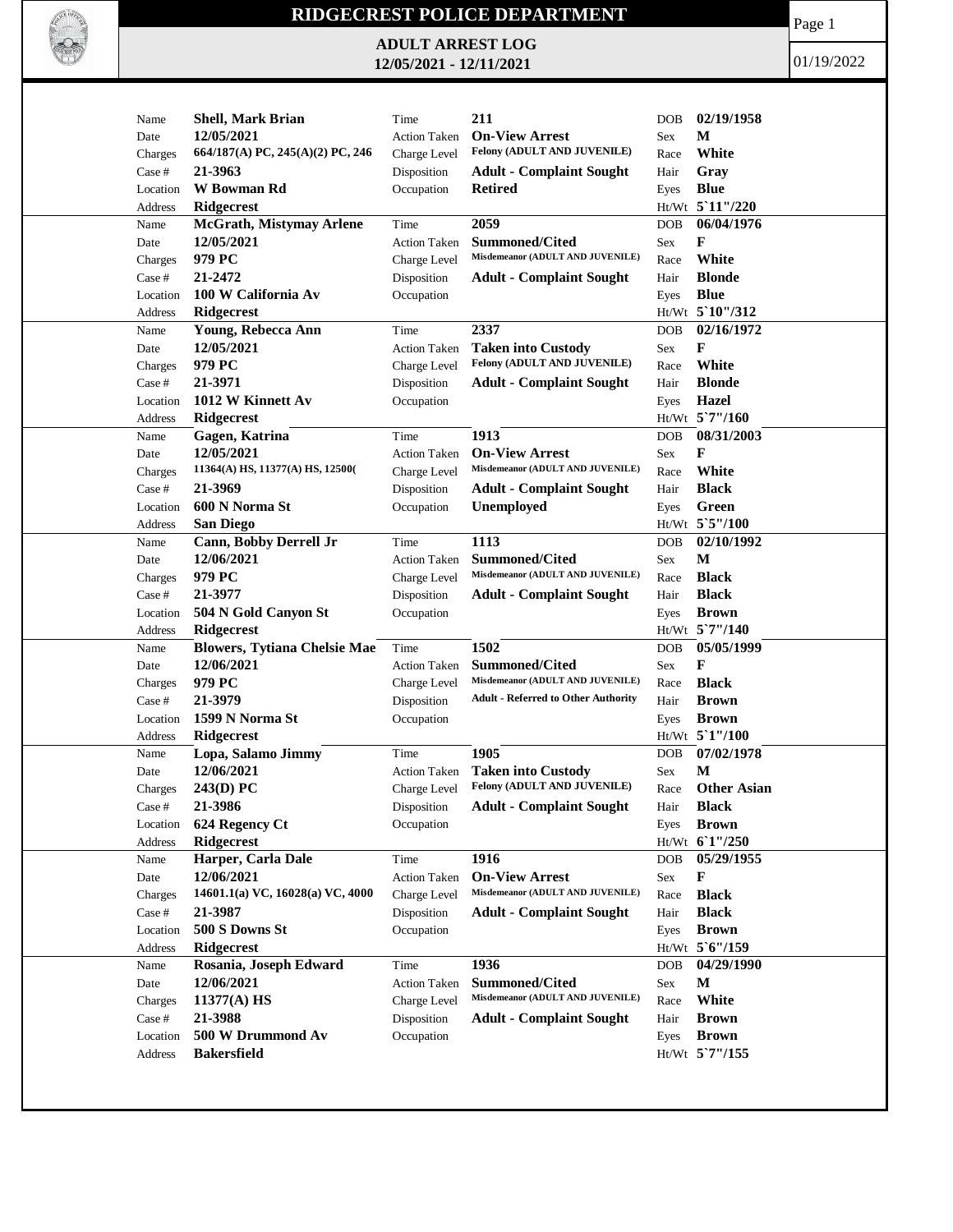

## **RIDGECREST POLICE DEPARTMENT**

**ADULT ARREST LOG 12/05/2021 - 12/11/2021**

Page 1

01/19/2022

| Name     | <b>Shell, Mark Brian</b>            | Time                | 211                                        | <b>DOB</b> | 02/19/1958         |
|----------|-------------------------------------|---------------------|--------------------------------------------|------------|--------------------|
| Date     | 12/05/2021                          | <b>Action Taken</b> | <b>On-View Arrest</b>                      | Sex        | М                  |
| Charges  | 664/187(A) PC, 245(A)(2) PC, 246    | Charge Level        | Felony (ADULT AND JUVENILE)                | Race       | White              |
| Case #   | 21-3963                             | Disposition         | <b>Adult - Complaint Sought</b>            | Hair       | Gray               |
| Location | W Bowman Rd                         | Occupation          | <b>Retired</b>                             | Eyes       | <b>Blue</b>        |
| Address  | Ridgecrest                          |                     |                                            |            | Ht/Wt 5 11"/220    |
| Name     | McGrath, Mistymay Arlene            | Time                | 2059                                       | <b>DOB</b> | 06/04/1976         |
| Date     | 12/05/2021                          | <b>Action Taken</b> | <b>Summoned/Cited</b>                      | Sex        | F                  |
| Charges  | 979 PC                              | Charge Level        | Misdemeanor (ADULT AND JUVENILE)           | Race       | White              |
| Case #   | 21-2472                             | Disposition         | <b>Adult - Complaint Sought</b>            | Hair       | <b>Blonde</b>      |
| Location | 100 W California Av                 | Occupation          |                                            | Eyes       | <b>Blue</b>        |
| Address  | <b>Ridgecrest</b>                   |                     |                                            |            | Ht/Wt 5`10"/312    |
| Name     | Young, Rebecca Ann                  | Time                | 2337                                       | DOB        | 02/16/1972         |
| Date     | 12/05/2021                          | <b>Action Taken</b> | <b>Taken into Custody</b>                  | Sex        | F                  |
| Charges  | 979 PC                              | Charge Level        | Felony (ADULT AND JUVENILE)                | Race       | White              |
| Case #   | 21-3971                             | Disposition         | <b>Adult - Complaint Sought</b>            | Hair       | <b>Blonde</b>      |
|          |                                     |                     |                                            |            |                    |
| Location | 1012 W Kinnett Av                   | Occupation          |                                            | Eyes       | Hazel              |
| Address  | Ridgecrest                          |                     |                                            |            | Ht/Wt 5`7"/160     |
| Name     | Gagen, Katrina                      | Time                | 1913                                       | <b>DOB</b> | 08/31/2003         |
| Date     | 12/05/2021                          | <b>Action Taken</b> | <b>On-View Arrest</b>                      | Sex        | F                  |
| Charges  | 11364(A) HS, 11377(A) HS, 12500(    | Charge Level        | Misdemeanor (ADULT AND JUVENILE)           | Race       | White              |
| Case #   | 21-3969                             | Disposition         | <b>Adult - Complaint Sought</b>            | Hair       | <b>Black</b>       |
| Location | 600 N Norma St                      | Occupation          | Unemployed                                 | Eyes       | Green              |
| Address  | <b>San Diego</b>                    |                     |                                            |            | Ht/Wt 5`5"/100     |
| Name     | Cann, Bobby Derrell Jr              | Time                | 1113                                       | DOB        | 02/10/1992         |
| Date     | 12/06/2021                          | Action Taken        | <b>Summoned/Cited</b>                      | Sex        | M                  |
| Charges  | 979 PC                              | Charge Level        | Misdemeanor (ADULT AND JUVENILE)           | Race       | <b>Black</b>       |
| Case #   | 21-3977                             | Disposition         | <b>Adult - Complaint Sought</b>            | Hair       | <b>Black</b>       |
| Location | 504 N Gold Canyon St                | Occupation          |                                            | Eyes       | <b>Brown</b>       |
| Address  | <b>Ridgecrest</b>                   |                     |                                            |            | Ht/Wt 5`7"/140     |
| Name     | <b>Blowers, Tytiana Chelsie Mae</b> | Time                | 1502                                       | <b>DOB</b> | 05/05/1999         |
| Date     | 12/06/2021                          | <b>Action Taken</b> | Summoned/Cited                             | Sex        | F                  |
| Charges  | 979 PC                              | Charge Level        | Misdemeanor (ADULT AND JUVENILE)           | Race       | <b>Black</b>       |
|          | 21-3979                             |                     | <b>Adult - Referred to Other Authority</b> |            | <b>Brown</b>       |
| Case #   |                                     | Disposition         |                                            | Hair       |                    |
| Location | 1599 N Norma St                     | Occupation          |                                            | Eyes       | <b>Brown</b>       |
| Address  | <b>Ridgecrest</b>                   |                     |                                            |            | Ht/Wt 5'1"/100     |
| Name     | Lopa, Salamo Jimmy                  | Time                | 1905                                       | DOB        | 07/02/1978         |
| Date     | 12/06/2021                          | <b>Action Taken</b> | <b>Taken into Custody</b>                  | Sex        | M                  |
| Charges  | $243(D)$ PC                         | Charge Level        | Felony (ADULT AND JUVENILE)                | Race       | <b>Other Asian</b> |
| Case #   | 21-3986                             | Disposition         | <b>Adult - Complaint Sought</b>            | Hair       | Black              |
| Location | 624 Regency Ct                      | Occupation          |                                            | Eyes       | <b>Brown</b>       |
| Address  | <b>Ridgecrest</b>                   |                     |                                            |            | $Ht/Wt$ 6 1"/250   |
| Name     | Harper, Carla Dale                  | Time                | 1916                                       | DOB        | 05/29/1955         |
| Date     | 12/06/2021                          | Action Taken        | <b>On-View Arrest</b>                      | Sex        | F                  |
| Charges  | 14601.1(a) VC, 16028(a) VC, 4000    | Charge Level        | Misdemeanor (ADULT AND JUVENILE)           | Race       | <b>Black</b>       |
| Case #   | 21-3987                             | Disposition         | <b>Adult - Complaint Sought</b>            | Hair       | <b>Black</b>       |
| Location | 500 S Downs St                      | Occupation          |                                            | Eyes       | <b>Brown</b>       |
| Address  | <b>Ridgecrest</b>                   |                     |                                            |            | Ht/Wt 5'6"/159     |
| Name     | Rosania, Joseph Edward              | Time                | 1936                                       | <b>DOB</b> | 04/29/1990         |
| Date     | 12/06/2021                          | <b>Action Taken</b> | Summoned/Cited                             | Sex        | M                  |
| Charges  | 11377(A) HS                         | Charge Level        | Misdemeanor (ADULT AND JUVENILE)           | Race       | White              |
| Case #   | 21-3988                             | Disposition         | <b>Adult - Complaint Sought</b>            | Hair       | <b>Brown</b>       |
| Location | 500 W Drummond Av                   | Occupation          |                                            |            | <b>Brown</b>       |
|          |                                     |                     |                                            | Eyes       | Ht/Wt 5'7"/155     |
| Address  | <b>Bakersfield</b>                  |                     |                                            |            |                    |
|          |                                     |                     |                                            |            |                    |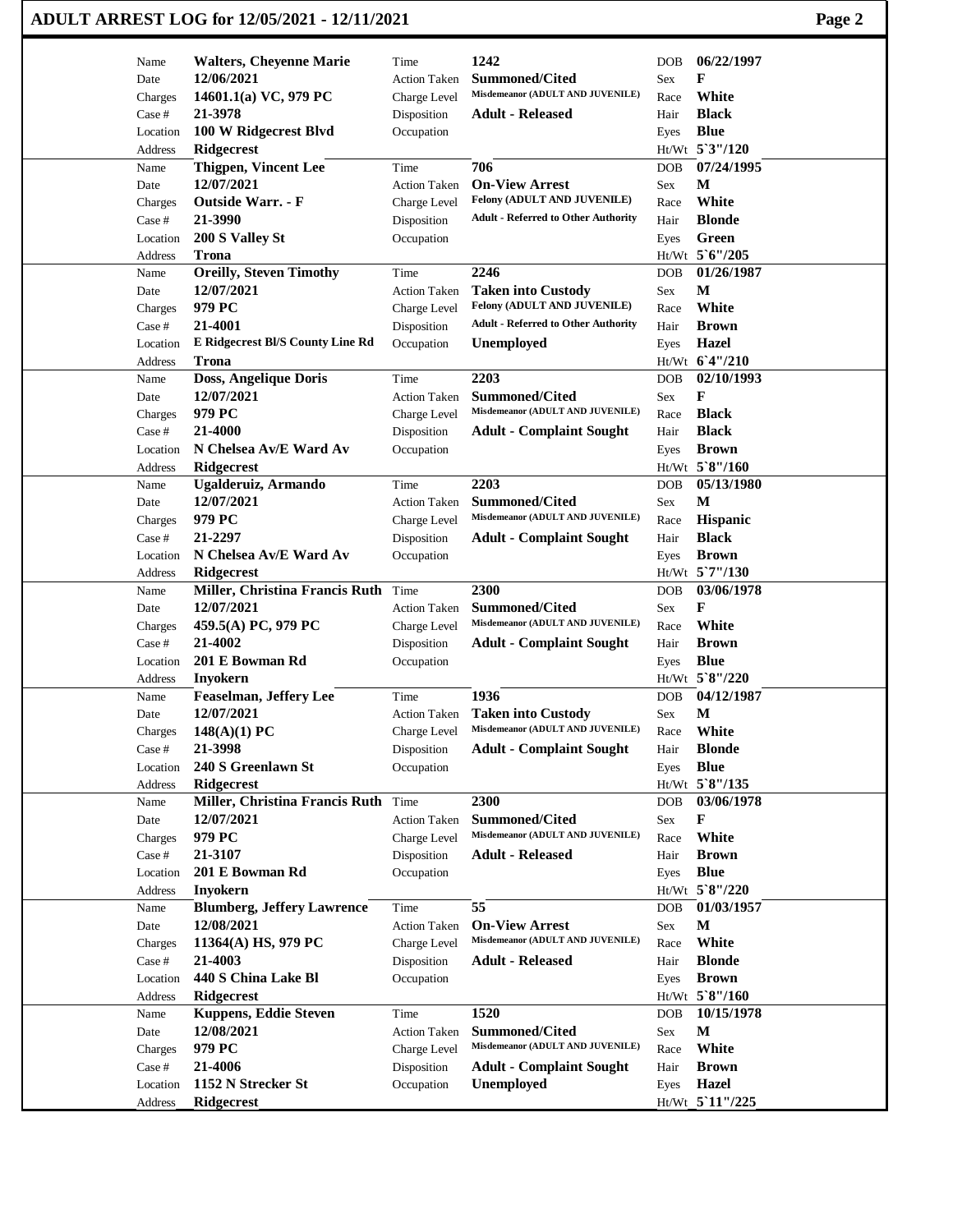## **ADULT ARREST LOG for 12/05/2021 - 12/11/2021 Page 2**

| Name            | <b>Walters, Cheyenne Marie</b>                       | Time                | 1242                                                      | DOB.       | 06/22/1997                     |
|-----------------|------------------------------------------------------|---------------------|-----------------------------------------------------------|------------|--------------------------------|
| Date            | 12/06/2021                                           | <b>Action Taken</b> | <b>Summoned/Cited</b>                                     | Sex        | F                              |
| Charges         | 14601.1(a) VC, 979 PC                                | Charge Level        | Misdemeanor (ADULT AND JUVENILE)                          | Race       | White                          |
| Case #          | 21-3978                                              | Disposition         | <b>Adult - Released</b>                                   | Hair       | <b>Black</b>                   |
| Location        | 100 W Ridgecrest Blvd                                | Occupation          |                                                           | Eyes       | <b>Blue</b>                    |
| Address         | <b>Ridgecrest</b>                                    |                     |                                                           |            | Ht/Wt 5'3"/120                 |
| Name            | Thigpen, Vincent Lee                                 | Time                | 706                                                       | DOB        | 07/24/1995                     |
| Date            | 12/07/2021                                           | <b>Action Taken</b> | <b>On-View Arrest</b>                                     | Sex        | М                              |
| Charges         | <b>Outside Warr. - F</b>                             | Charge Level        | Felony (ADULT AND JUVENILE)                               | Race       | White                          |
| Case #          | 21-3990                                              | Disposition         | <b>Adult - Referred to Other Authority</b>                | Hair       | <b>Blonde</b>                  |
| Location        | 200 S Valley St                                      | Occupation          |                                                           | Eyes       | Green                          |
| Address         | <b>Trona</b>                                         |                     |                                                           |            | Ht/Wt 5'6"/205                 |
| Name            | <b>Oreilly, Steven Timothy</b>                       | Time                | 2246                                                      | <b>DOB</b> | 01/26/1987                     |
| Date            | 12/07/2021                                           | <b>Action Taken</b> | <b>Taken into Custody</b>                                 | Sex        | M                              |
| Charges         | 979 PC                                               | Charge Level        | Felony (ADULT AND JUVENILE)                               | Race       | White                          |
| Case #          | 21-4001                                              | Disposition         | <b>Adult - Referred to Other Authority</b>                | Hair       | <b>Brown</b>                   |
| Location        | E Ridgecrest Bl/S County Line Rd                     | Occupation          | <b>Unemployed</b>                                         | Eyes       | <b>Hazel</b>                   |
| Address         | Trona                                                |                     |                                                           |            | Ht/Wt 6'4"/210                 |
| Name            | Doss, Angelique Doris                                | Time                | 2203                                                      | DOB        | 02/10/1993                     |
| Date            | 12/07/2021                                           | <b>Action Taken</b> | <b>Summoned/Cited</b>                                     | Sex        | F                              |
| Charges         | 979 PC                                               | Charge Level        | Misdemeanor (ADULT AND JUVENILE)                          | Race       | <b>Black</b>                   |
| Case #          | 21-4000                                              | Disposition         | <b>Adult - Complaint Sought</b>                           | Hair       | <b>Black</b>                   |
| Location        | N Chelsea Av/E Ward Av                               | Occupation          |                                                           | Eyes       | <b>Brown</b>                   |
| Address         | <b>Ridgecrest</b>                                    |                     |                                                           |            | Ht/Wt 5`8"/160                 |
| Name            | Ugalderuiz, Armando                                  | Time                | 2203                                                      | <b>DOB</b> | 05/13/1980                     |
| Date            | 12/07/2021                                           | <b>Action Taken</b> | <b>Summoned/Cited</b>                                     | Sex        | М                              |
| Charges         | 979 PC                                               | Charge Level        | Misdemeanor (ADULT AND JUVENILE)                          | Race       | Hispanic                       |
| Case #          | 21-2297                                              | Disposition         | <b>Adult - Complaint Sought</b>                           | Hair       | <b>Black</b>                   |
| Location        | N Chelsea Av/E Ward Av                               | Occupation          |                                                           | Eyes       | <b>Brown</b>                   |
| Address         | <b>Ridgecrest</b>                                    |                     |                                                           |            | Ht/Wt 5`7"/130                 |
| Name            | Miller, Christina Francis Ruth Time                  |                     | 2300                                                      | DOB        | 03/06/1978                     |
| Date            | 12/07/2021                                           | <b>Action Taken</b> | <b>Summoned/Cited</b>                                     | Sex        | F                              |
| Charges         | 459.5(A) PC, 979 PC                                  | Charge Level        | Misdemeanor (ADULT AND JUVENILE)                          | Race       | White                          |
| Case #          | 21-4002                                              | Disposition         | <b>Adult - Complaint Sought</b>                           | Hair       | <b>Brown</b>                   |
| Location        | 201 E Bowman Rd                                      | Occupation          |                                                           | Eyes       | <b>Blue</b>                    |
| Address         | <b>Inyokern</b>                                      |                     |                                                           |            | Ht/Wt 5`8"/220                 |
| Name            | <b>Feaselman, Jeffery Lee</b>                        | Time                | 1936                                                      | <b>DOB</b> | 04/12/1987                     |
| Date            | 12/07/2021                                           | <b>Action Taken</b> | <b>Taken into Custody</b>                                 | Sex        | $\mathbf{M}$                   |
| Charges         | $148(A)(1)$ PC                                       | Charge Level        | Misdemeanor (ADULT AND JUVENILE)                          | Race       | White                          |
| Case #          | 21-3998                                              | Disposition         | <b>Adult - Complaint Sought</b>                           | Hair       | <b>Blonde</b>                  |
| Location        | 240 S Greenlawn St                                   | Occupation          |                                                           |            | <b>Blue</b>                    |
| Address         | Ridgecrest                                           |                     |                                                           | Eyes       | Ht/Wt 5`8"/135                 |
| Name            | Miller, Christina Francis Ruth Time                  |                     | 2300                                                      | DOB        | 03/06/1978                     |
| Date            | 12/07/2021                                           | <b>Action Taken</b> | <b>Summoned/Cited</b>                                     | Sex        | F                              |
| Charges         | 979 PC                                               | Charge Level        | Misdemeanor (ADULT AND JUVENILE)                          | Race       | White                          |
| Case #          | 21-3107                                              | Disposition         | <b>Adult - Released</b>                                   | Hair       | <b>Brown</b>                   |
| Location        | 201 E Bowman Rd                                      | Occupation          |                                                           | Eyes       | <b>Blue</b>                    |
|                 |                                                      |                     |                                                           |            | Ht/Wt 5`8"/220                 |
| Address<br>Name | <b>Inyokern</b><br><b>Blumberg, Jeffery Lawrence</b> | Time                | $\overline{55}$                                           | DOB        | 01/03/1957                     |
|                 | 12/08/2021                                           | <b>Action Taken</b> | <b>On-View Arrest</b>                                     |            | $\mathbf M$                    |
| Date            | 11364(A) HS, 979 PC                                  |                     | Misdemeanor (ADULT AND JUVENILE)                          | Sex        | White                          |
| Charges         | 21-4003                                              | Charge Level        |                                                           | Race       | <b>Blonde</b>                  |
| Case #          |                                                      | Disposition         | <b>Adult - Released</b>                                   | Hair       |                                |
| Location        | 440 S China Lake Bl                                  | Occupation          |                                                           | Eyes       | <b>Brown</b><br>Ht/Wt 5`8"/160 |
| Address         | Ridgecrest                                           |                     |                                                           |            |                                |
| Name            | <b>Kuppens, Eddie Steven</b>                         | Time                | 1520                                                      | <b>DOB</b> | 10/15/1978                     |
| Date            | 12/08/2021                                           | <b>Action Taken</b> | <b>Summoned/Cited</b><br>Misdemeanor (ADULT AND JUVENILE) | Sex        | $\mathbf M$                    |
| Charges         | 979 PC                                               | Charge Level        |                                                           | Race       | White                          |
| Case #          | 21-4006                                              | Disposition         | <b>Adult - Complaint Sought</b>                           | Hair       | <b>Brown</b>                   |
| Location        | 1152 N Strecker St                                   | Occupation          | Unemployed                                                | Eyes       | <b>Hazel</b>                   |
| Address         | Ridgecrest                                           |                     |                                                           |            | Ht/Wt 5'11"/225                |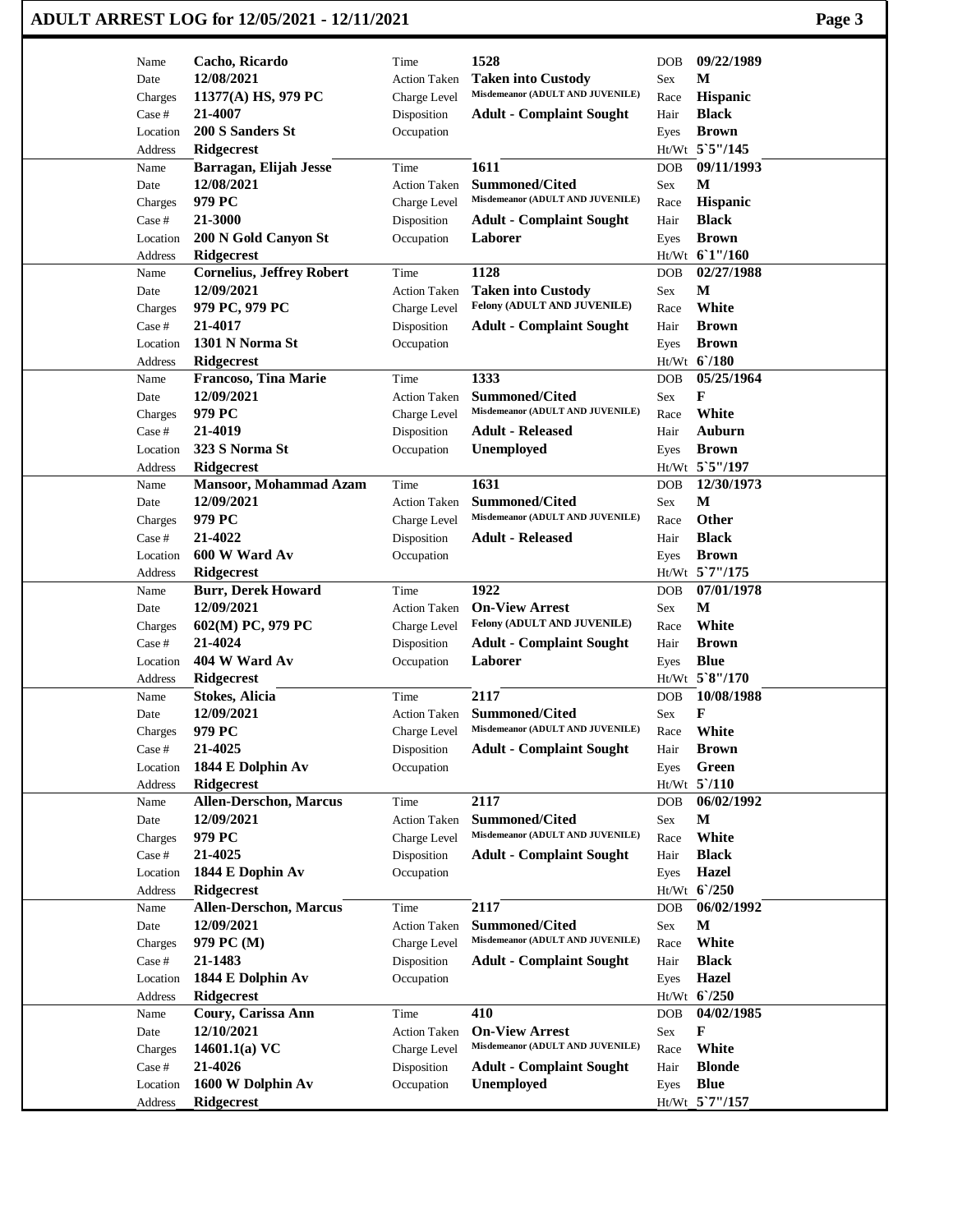| ADULT ARREST LOG for 12/05/2021 - 12/11/2021 | Page 3 |
|----------------------------------------------|--------|
|----------------------------------------------|--------|

| Name               | Cacho, Ricardo                         | Time                      | 1528                                                     | DOB          | 09/22/1989                   |
|--------------------|----------------------------------------|---------------------------|----------------------------------------------------------|--------------|------------------------------|
| Date               | 12/08/2021                             | <b>Action Taken</b>       | <b>Taken into Custody</b>                                | Sex          | M                            |
| Charges            | 11377(A) HS, 979 PC                    | Charge Level              | Misdemeanor (ADULT AND JUVENILE)                         | Race         | Hispanic                     |
| Case #             | 21-4007                                | Disposition               | <b>Adult - Complaint Sought</b>                          | Hair         | <b>Black</b>                 |
| Location           | 200 S Sanders St                       | Occupation                |                                                          | Eyes         | <b>Brown</b>                 |
| Address            | Ridgecrest                             |                           |                                                          |              | Ht/Wt 5`5"/145               |
| Name               | Barragan, Elijah Jesse                 | Time                      | 1611                                                     | DOB          | 09/11/1993                   |
| Date               | 12/08/2021                             | <b>Action Taken</b>       | <b>Summoned/Cited</b>                                    | Sex          | М                            |
| Charges            | 979 PC                                 | Charge Level              | Misdemeanor (ADULT AND JUVENILE)                         | Race         | Hispanic                     |
| Case #             | 21-3000                                | Disposition               | <b>Adult - Complaint Sought</b>                          | Hair         | <b>Black</b>                 |
| Location           | 200 N Gold Canyon St                   | Occupation                | Laborer                                                  | Eyes         | <b>Brown</b>                 |
| Address            | <b>Ridgecrest</b>                      |                           |                                                          |              | Ht/Wt 61"/160                |
| Name               | <b>Cornelius, Jeffrey Robert</b>       | Time                      | 1128                                                     | <b>DOB</b>   | 02/27/1988<br>M              |
| Date               | 12/09/2021                             | <b>Action Taken</b>       | <b>Taken into Custody</b><br>Felony (ADULT AND JUVENILE) | Sex          | White                        |
| Charges<br>Case #  | 979 PC, 979 PC<br>21-4017              | Charge Level              |                                                          | Race<br>Hair | <b>Brown</b>                 |
| Location           | 1301 N Norma St                        | Disposition<br>Occupation | <b>Adult - Complaint Sought</b>                          | Eyes         | <b>Brown</b>                 |
| Address            | <b>Ridgecrest</b>                      |                           |                                                          |              | Ht/Wt 6/180                  |
| Name               | <b>Francoso, Tina Marie</b>            | Time                      | 1333                                                     | DOB          | 05/25/1964                   |
| Date               | 12/09/2021                             | <b>Action Taken</b>       | <b>Summoned/Cited</b>                                    | Sex          | F                            |
| Charges            | 979 PC                                 | Charge Level              | Misdemeanor (ADULT AND JUVENILE)                         | Race         | White                        |
| Case #             | 21-4019                                | Disposition               | <b>Adult - Released</b>                                  | Hair         | <b>Auburn</b>                |
| Location           | 323 S Norma St                         | Occupation                | <b>Unemployed</b>                                        | Eyes         | <b>Brown</b>                 |
| Address            | <b>Ridgecrest</b>                      |                           |                                                          |              | Ht/Wt 5`5"/197               |
| Name               | Mansoor, Mohammad Azam                 | Time                      | 1631                                                     | <b>DOB</b>   | 12/30/1973                   |
| Date               | 12/09/2021                             | <b>Action Taken</b>       | <b>Summoned/Cited</b>                                    | Sex          | M                            |
| Charges            | 979 PC                                 | Charge Level              | Misdemeanor (ADULT AND JUVENILE)                         | Race         | Other                        |
| Case #             | 21-4022                                | Disposition               | <b>Adult - Released</b>                                  | Hair         | <b>Black</b>                 |
| Location           | 600 W Ward Av                          | Occupation                |                                                          | Eyes         | <b>Brown</b>                 |
| Address            | <b>Ridgecrest</b>                      |                           |                                                          |              | Ht/Wt 5`7"/175               |
| Name               | <b>Burr, Derek Howard</b>              | Time                      | 1922                                                     | <b>DOB</b>   | 07/01/1978                   |
|                    |                                        |                           |                                                          |              |                              |
| Date               | 12/09/2021                             | Action Taken              | <b>On-View Arrest</b>                                    | Sex          | M                            |
| Charges            | 602(M) PC, 979 PC                      | Charge Level              | Felony (ADULT AND JUVENILE)                              | Race         | White                        |
| Case #             | 21-4024                                | Disposition               | <b>Adult - Complaint Sought</b>                          | Hair         | <b>Brown</b>                 |
| Location           | 404 W Ward Av                          | Occupation                | Laborer                                                  | Eyes         | <b>Blue</b>                  |
| Address            | <b>Ridgecrest</b>                      |                           |                                                          |              | Ht/Wt 5`8"/170               |
| Name               | <b>Stokes, Alicia</b>                  | Time                      | 2117                                                     | DOB          | 10/08/1988                   |
| Date               | 12/09/2021                             | <b>Action Taken</b>       | <b>Summoned/Cited</b>                                    | Sex          | F                            |
| Charges            | 979 PC                                 | Charge Level              | Misdemeanor (ADULT AND JUVENILE)                         | Race         | White                        |
| Case #             | 21-4025                                | Disposition               | <b>Adult - Complaint Sought</b>                          | Hair         | <b>Brown</b>                 |
| Location           | 1844 E Dolphin Av                      | Occupation                |                                                          | Eyes         | Green                        |
| Address            | Ridgecrest                             |                           |                                                          |              | $Ht/Wt$ 5 $/110$             |
| Name               | <b>Allen-Derschon, Marcus</b>          | Time                      | 2117                                                     | DOB          | 06/02/1992                   |
| Date               | 12/09/2021                             | <b>Action Taken</b>       | <b>Summoned/Cited</b>                                    | Sex          | $\mathbf M$                  |
| Charges            | 979 PC                                 | Charge Level              | Misdemeanor (ADULT AND JUVENILE)                         | Race         | White                        |
| Case #             | 21-4025                                | Disposition               | <b>Adult - Complaint Sought</b>                          | Hair         | <b>Black</b>                 |
| Location           | 1844 E Dophin Av                       | Occupation                |                                                          | Eyes         | <b>Hazel</b>                 |
| Address            | Ridgecrest                             |                           |                                                          |              | Ht/Wt 6'/250                 |
| Name               | <b>Allen-Derschon, Marcus</b>          | Time                      | 2117                                                     | <b>DOB</b>   | 06/02/1992                   |
| Date               | 12/09/2021                             | Action Taken              | Summoned/Cited<br>Misdemeanor (ADULT AND JUVENILE)       | Sex          | M                            |
| Charges            | 979 PC (M)                             | Charge Level              |                                                          | Race         | White                        |
| Case #<br>Location | 21-1483                                | Disposition               | <b>Adult - Complaint Sought</b>                          | Hair         | <b>Black</b>                 |
| Address            | 1844 E Dolphin Av<br><b>Ridgecrest</b> | Occupation                |                                                          | Eyes         | <b>Hazel</b><br>Ht/Wt 6'/250 |
| Name               | Coury, Carissa Ann                     | Time                      | 410                                                      | DOB          | 04/02/1985                   |
| Date               | 12/10/2021                             | <b>Action Taken</b>       | <b>On-View Arrest</b>                                    | Sex          | F                            |
| Charges            | 14601.1(a) $VC$                        | Charge Level              | Misdemeanor (ADULT AND JUVENILE)                         | Race         | White                        |
| Case #             | 21-4026                                | Disposition               | <b>Adult - Complaint Sought</b>                          | Hair         | <b>Blonde</b>                |
| Location           | 1600 W Dolphin Av                      | Occupation                | Unemployed                                               | Eyes         | <b>Blue</b>                  |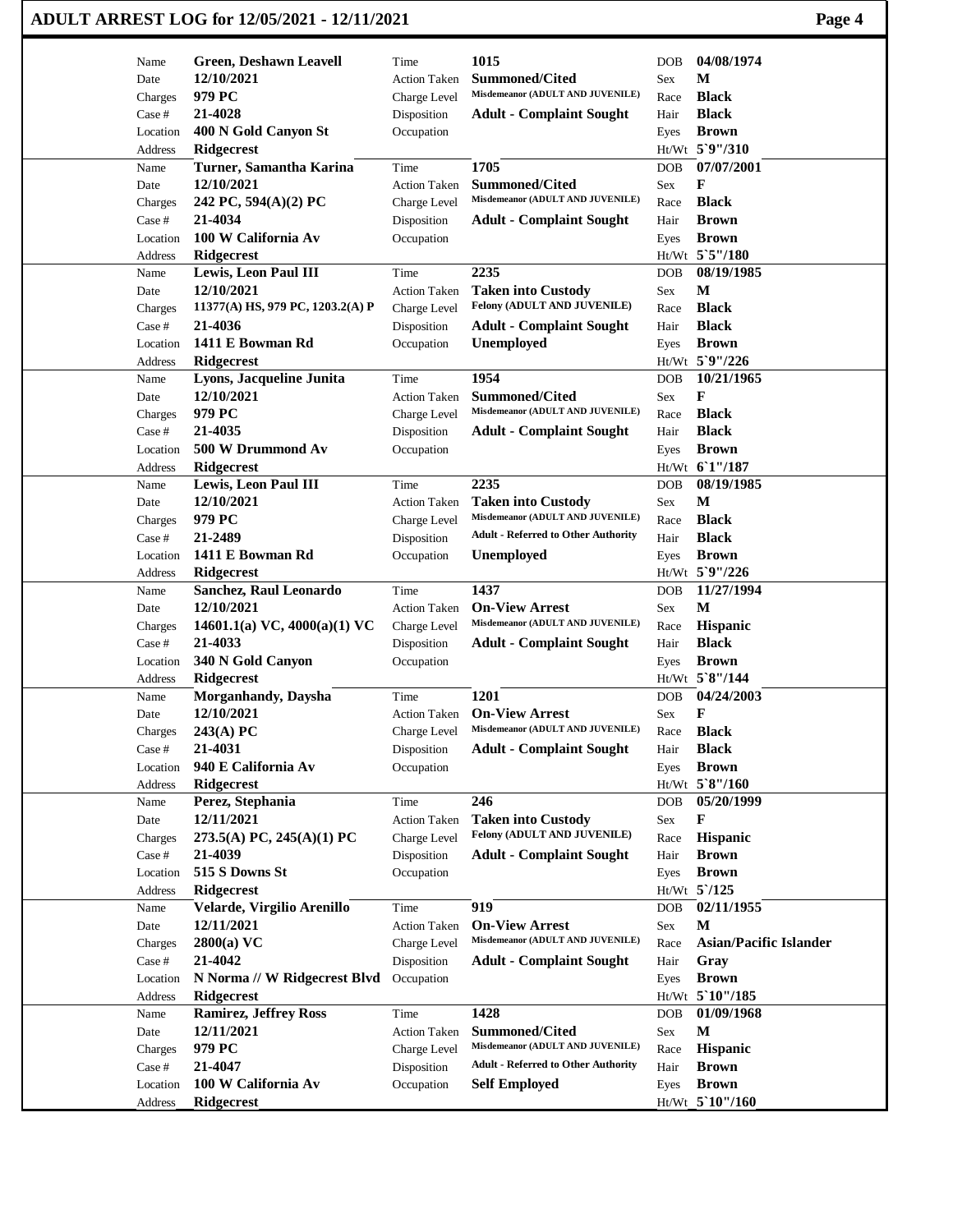| ADULT ARREST LOG for 12/05/2021 - 12/11/2021 | Page 4 |
|----------------------------------------------|--------|
|----------------------------------------------|--------|

| Name              | <b>Green, Deshawn Leavell</b>      | Time                        | 1015                                                      | <b>DOB</b>  | 04/08/1974                     |
|-------------------|------------------------------------|-----------------------------|-----------------------------------------------------------|-------------|--------------------------------|
| Date              | 12/10/2021                         | <b>Action Taken</b>         | <b>Summoned/Cited</b>                                     | Sex         | M                              |
| Charges           | 979 PC                             | Charge Level                | Misdemeanor (ADULT AND JUVENILE)                          | Race        | <b>Black</b>                   |
| Case #            | 21-4028                            | Disposition                 | <b>Adult - Complaint Sought</b>                           | Hair        | <b>Black</b>                   |
| Location          | 400 N Gold Canyon St               | Occupation                  |                                                           | Eyes        | <b>Brown</b>                   |
| Address           | <b>Ridgecrest</b>                  |                             |                                                           |             | Ht/Wt 5`9"/310                 |
| Name              | Turner, Samantha Karina            | Time                        | 1705                                                      | <b>DOB</b>  | 07/07/2001                     |
| Date              | 12/10/2021                         | <b>Action Taken</b>         | <b>Summoned/Cited</b><br>Misdemeanor (ADULT AND JUVENILE) | Sex         | F                              |
| Charges           | 242 PC, 594(A)(2) PC               | Charge Level                |                                                           | Race        | <b>Black</b>                   |
| Case #            | 21-4034                            | Disposition                 | <b>Adult - Complaint Sought</b>                           | Hair        | <b>Brown</b>                   |
| Location          | 100 W California Av                | Occupation                  |                                                           | Eyes        | <b>Brown</b><br>Ht/Wt 5`5"/180 |
| Address           | <b>Ridgecrest</b>                  |                             | 2235                                                      |             | 08/19/1985                     |
| Name              | Lewis, Leon Paul III<br>12/10/2021 | Time                        | <b>Taken into Custody</b>                                 | <b>DOB</b>  | М                              |
| Date              | 11377(A) HS, 979 PC, 1203.2(A) P   | <b>Action Taken</b>         | Felony (ADULT AND JUVENILE)                               | Sex<br>Race | <b>Black</b>                   |
| Charges<br>Case # | 21-4036                            | Charge Level<br>Disposition |                                                           |             | <b>Black</b>                   |
| Location          | 1411 E Bowman Rd                   | Occupation                  | <b>Adult - Complaint Sought</b><br><b>Unemployed</b>      | Hair        | <b>Brown</b>                   |
|                   | <b>Ridgecrest</b>                  |                             |                                                           | Eyes        | Ht/Wt 5`9"/226                 |
| Address<br>Name   | Lyons, Jacqueline Junita           | Time                        | 1954                                                      | <b>DOB</b>  | 10/21/1965                     |
| Date              | 12/10/2021                         | <b>Action Taken</b>         | <b>Summoned/Cited</b>                                     | Sex         | F                              |
| Charges           | 979 PC                             | Charge Level                | Misdemeanor (ADULT AND JUVENILE)                          | Race        | <b>Black</b>                   |
| Case #            | 21-4035                            | Disposition                 | <b>Adult - Complaint Sought</b>                           | Hair        | <b>Black</b>                   |
| Location          | 500 W Drummond Av                  | Occupation                  |                                                           |             | <b>Brown</b>                   |
| Address           | Ridgecrest                         |                             |                                                           | Eyes        | Ht/Wt 61"/187                  |
| Name              | <b>Lewis, Leon Paul III</b>        | Time                        | 2235                                                      | DOB         | 08/19/1985                     |
| Date              | 12/10/2021                         | <b>Action Taken</b>         | <b>Taken into Custody</b>                                 | Sex         | М                              |
| Charges           | 979 PC                             | Charge Level                | Misdemeanor (ADULT AND JUVENILE)                          | Race        | <b>Black</b>                   |
| Case #            | 21-2489                            | Disposition                 | <b>Adult - Referred to Other Authority</b>                | Hair        | <b>Black</b>                   |
| Location          | 1411 E Bowman Rd                   | Occupation                  | <b>Unemployed</b>                                         | Eyes        | <b>Brown</b>                   |
| Address           | Ridgecrest                         |                             |                                                           |             | Ht/Wt 5`9"/226                 |
| Name              | Sanchez, Raul Leonardo             | Time                        | 1437                                                      | <b>DOB</b>  | 11/27/1994                     |
| Date              | 12/10/2021                         | <b>Action Taken</b>         | <b>On-View Arrest</b>                                     | Sex         | M                              |
| Charges           | 14601.1(a) VC, 4000(a)(1) VC       | Charge Level                | Misdemeanor (ADULT AND JUVENILE)                          | Race        | <b>Hispanic</b>                |
| Case #            | 21-4033                            | Disposition                 | <b>Adult - Complaint Sought</b>                           | Hair        | <b>Black</b>                   |
| Location          | 340 N Gold Canyon                  | Occupation                  |                                                           | Eyes        | <b>Brown</b>                   |
| Address           | <b>Ridgecrest</b>                  |                             |                                                           |             | Ht/Wt 5`8"/144                 |
| Name              | <b>Morganhandy</b> , Daysha        | Time                        | 1201                                                      | <b>DOB</b>  | 04/24/2003                     |
| Date              | 12/10/2021                         | <b>Action Taken</b>         | <b>On-View Arrest</b>                                     | Sex         | F                              |
| Charges           | $243(A)$ PC                        | Charge Level                | Misdemeanor (ADULT AND JUVENILE)                          | Race        | <b>Black</b>                   |
| Case #            | 21-4031                            | Disposition                 | <b>Adult - Complaint Sought</b>                           | Hair        | <b>Black</b>                   |
| Location          | 940 E California Av                | Occupation                  |                                                           | Eyes        | <b>Brown</b>                   |
| Address           | Ridgecrest                         |                             |                                                           |             | Ht/Wt 5`8"/160                 |
| Name              | Perez, Stephania                   | Time                        | 246                                                       | DOB         | 05/20/1999                     |
| Date              | 12/11/2021                         | <b>Action Taken</b>         | <b>Taken into Custody</b>                                 | Sex         | F                              |
| Charges           | 273.5(A) PC, 245(A)(1) PC          | Charge Level                | Felony (ADULT AND JUVENILE)                               | Race        | <b>Hispanic</b>                |
| Case #            | 21-4039                            | Disposition                 | <b>Adult - Complaint Sought</b>                           | Hair        | <b>Brown</b>                   |
| Location          | 515 S Downs St                     | Occupation                  |                                                           | Eyes        | <b>Brown</b>                   |
| Address           | Ridgecrest                         |                             |                                                           |             | Ht/Wt 5'/125                   |
| Name              | Velarde, Virgilio Arenillo         | Time                        | 919                                                       | DOB         | 02/11/1955                     |
| Date              | 12/11/2021                         | <b>Action Taken</b>         | <b>On-View Arrest</b>                                     | Sex         | M                              |
| Charges           | $2800(a)$ VC                       | Charge Level                | Misdemeanor (ADULT AND JUVENILE)                          | Race        | <b>Asian/Pacific Islander</b>  |
| Case #            | 21-4042                            | Disposition                 | <b>Adult - Complaint Sought</b>                           | Hair        | Gray                           |
| Location          | N Norma // W Ridgecrest Blvd       | Occupation                  |                                                           | Eyes        | <b>Brown</b>                   |
| Address           | Ridgecrest                         |                             |                                                           |             | Ht/Wt 5 10"/185                |
| Name              | <b>Ramirez, Jeffrey Ross</b>       | Time                        | 1428                                                      | <b>DOB</b>  | 01/09/1968                     |
| Date              | 12/11/2021                         | <b>Action Taken</b>         | <b>Summoned/Cited</b>                                     | Sex         | M                              |
| Charges           | 979 PC                             | Charge Level                | Misdemeanor (ADULT AND JUVENILE)                          | Race        | Hispanic                       |
| Case #            | 21-4047                            | Disposition                 | <b>Adult - Referred to Other Authority</b>                | Hair        | <b>Brown</b>                   |
| Location          | 100 W California Av                | Occupation                  | <b>Self Employed</b>                                      | Eyes        | <b>Brown</b>                   |
| Address           | Ridgecrest                         |                             |                                                           |             | Ht/Wt 5'10"/160                |